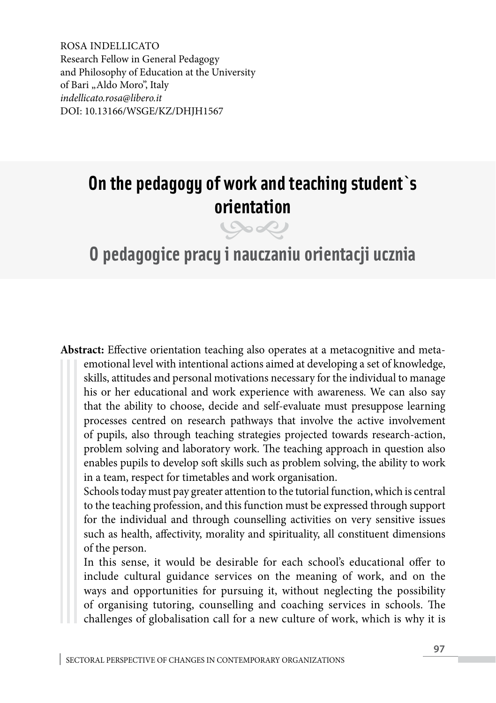ROSA INDELLICATO Research Fellow in General Pedagogy and Philosophy of Education at the University of Bari "Aldo Moro", Italy *indellicato.rosa@libero.it* DOI: 10.13166/WSGE/KZ/DHJH1567

# **On the pedagogy of work and teaching student`s orientation**

## **O pedagogice pracy i nauczaniu orientacji ucznia**

**Abstract:** Effective orientation teaching also operates at a metacognitive and metaemotional level with intentional actions aimed at developing a set of knowledge, skills, attitudes and personal motivations necessary for the individual to manage his or her educational and work experience with awareness. We can also say that the ability to choose, decide and self-evaluate must presuppose learning processes centred on research pathways that involve the active involvement of pupils, also through teaching strategies projected towards research-action, problem solving and laboratory work. The teaching approach in question also enables pupils to develop soft skills such as problem solving, the ability to work in a team, respect for timetables and work organisation.

Schools today must pay greater attention to the tutorial function, which is central to the teaching profession, and this function must be expressed through support for the individual and through counselling activities on very sensitive issues such as health, affectivity, morality and spirituality, all constituent dimensions of the person.

In this sense, it would be desirable for each school's educational offer to include cultural guidance services on the meaning of work, and on the ways and opportunities for pursuing it, without neglecting the possibility of organising tutoring, counselling and coaching services in schools. The challenges of globalisation call for a new culture of work, which is why it is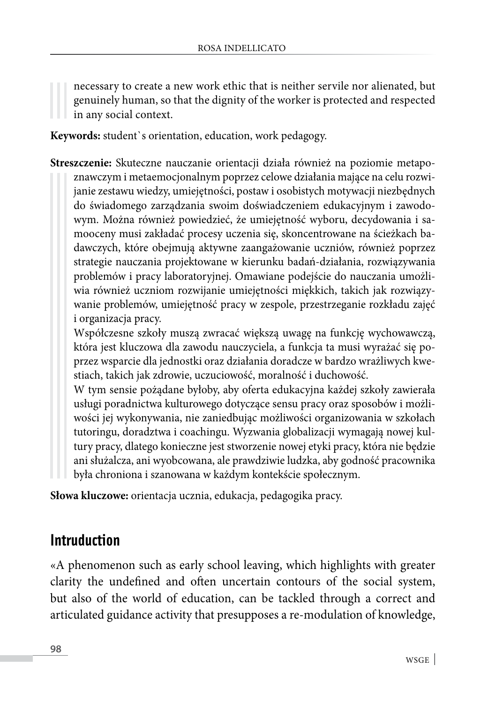necessary to create a new work ethic that is neither servile nor alienated, but genuinely human, so that the dignity of the worker is protected and respected in any social context.

**Keywords:** student`s orientation, education, work pedagogy.

**Streszczenie:** Skuteczne nauczanie orientacji działa również na poziomie metapoznawczym i metaemocjonalnym poprzez celowe działania mające na celu rozwijanie zestawu wiedzy, umiejętności, postaw i osobistych motywacji niezbędnych do świadomego zarządzania swoim doświadczeniem edukacyjnym i zawodowym. Można również powiedzieć, że umiejętność wyboru, decydowania i samooceny musi zakładać procesy uczenia się, skoncentrowane na ścieżkach badawczych, które obejmują aktywne zaangażowanie uczniów, również poprzez strategie nauczania projektowane w kierunku badań-działania, rozwiązywania problemów i pracy laboratoryjnej. Omawiane podejście do nauczania umożliwia również uczniom rozwijanie umiejętności miękkich, takich jak rozwiązywanie problemów, umiejętność pracy w zespole, przestrzeganie rozkładu zajęć i organizacja pracy.

Współczesne szkoły muszą zwracać większą uwagę na funkcję wychowawczą, która jest kluczowa dla zawodu nauczyciela, a funkcja ta musi wyrażać się poprzez wsparcie dla jednostki oraz działania doradcze w bardzo wrażliwych kwestiach, takich jak zdrowie, uczuciowość, moralność i duchowość.

W tym sensie pożądane byłoby, aby oferta edukacyjna każdej szkoły zawierała usługi poradnictwa kulturowego dotyczące sensu pracy oraz sposobów i możliwości jej wykonywania, nie zaniedbując możliwości organizowania w szkołach tutoringu, doradztwa i coachingu. Wyzwania globalizacji wymagają nowej kultury pracy, dlatego konieczne jest stworzenie nowej etyki pracy, która nie będzie ani służalcza, ani wyobcowana, ale prawdziwie ludzka, aby godność pracownika była chroniona i szanowana w każdym kontekście społecznym.

**Słowa kluczowe:** orientacja ucznia, edukacja, pedagogika pracy.

#### **Intruduction**

«A phenomenon such as early school leaving, which highlights with greater clarity the undefined and often uncertain contours of the social system, but also of the world of education, can be tackled through a correct and articulated guidance activity that presupposes a re-modulation of knowledge,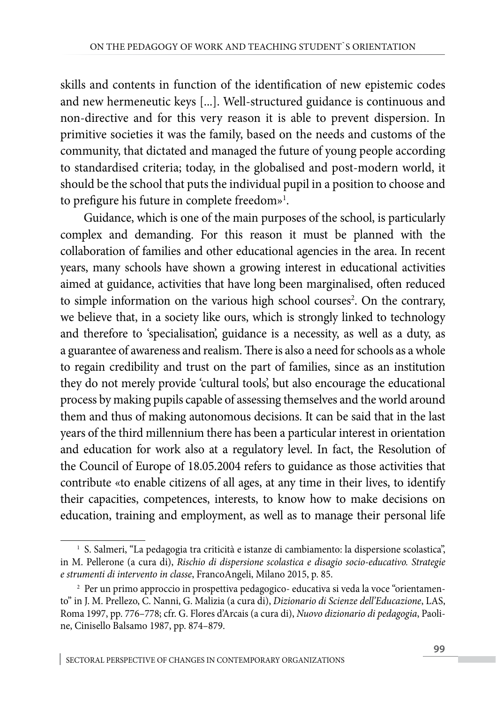skills and contents in function of the identification of new epistemic codes and new hermeneutic keys [...]. Well-structured guidance is continuous and non-directive and for this very reason it is able to prevent dispersion. In primitive societies it was the family, based on the needs and customs of the community, that dictated and managed the future of young people according to standardised criteria; today, in the globalised and post-modern world, it should be the school that puts the individual pupil in a position to choose and to prefigure his future in complete freedom»1 .

Guidance, which is one of the main purposes of the school, is particularly complex and demanding. For this reason it must be planned with the collaboration of families and other educational agencies in the area. In recent years, many schools have shown a growing interest in educational activities aimed at guidance, activities that have long been marginalised, often reduced to simple information on the various high school courses<sup>2</sup>. On the contrary, we believe that, in a society like ours, which is strongly linked to technology and therefore to 'specialisation', guidance is a necessity, as well as a duty, as a guarantee of awareness and realism. There is also a need for schools as a whole to regain credibility and trust on the part of families, since as an institution they do not merely provide 'cultural tools', but also encourage the educational process by making pupils capable of assessing themselves and the world around them and thus of making autonomous decisions. It can be said that in the last years of the third millennium there has been a particular interest in orientation and education for work also at a regulatory level. In fact, the Resolution of the Council of Europe of 18.05.2004 refers to guidance as those activities that contribute «to enable citizens of all ages, at any time in their lives, to identify their capacities, competences, interests, to know how to make decisions on education, training and employment, as well as to manage their personal life

<sup>&</sup>lt;sup>1</sup> S. Salmeri, "La pedagogia tra criticità e istanze di cambiamento: la dispersione scolastica", in M. Pellerone (a cura di), *Rischio di dispersione scolastica e disagio socio-educativo. Strategie e strumenti di intervento in classe*, FrancoAngeli, Milano 2015, p. 85.

<sup>2</sup> Per un primo approccio in prospettiva pedagogico- educativa si veda la voce "orientamento" in J. M. Prellezo, C. Nanni, G. Malizia (a cura di), *Dizionario di Scienze dell'Educazione*, LAS, Roma 1997, pp. 776–778; cfr. G. Flores d'Arcais (a cura di), *Nuovo dizionario di pedagogia*, Paoline, Cinisello Balsamo 1987, pp. 874–879.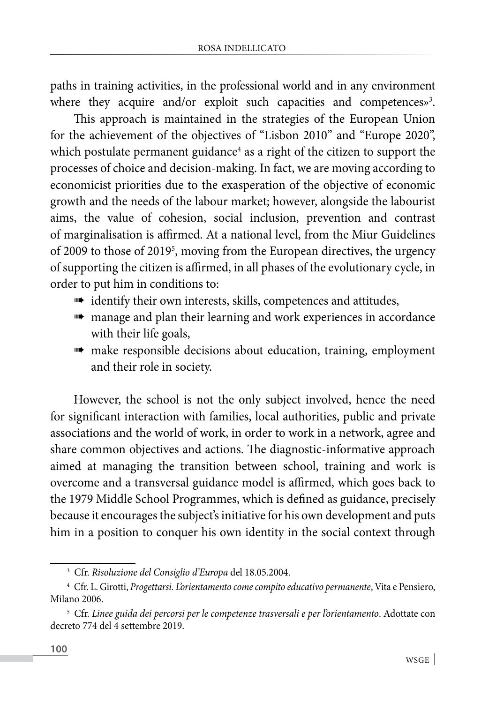paths in training activities, in the professional world and in any environment where they acquire and/or exploit such capacities and competences»<sup>3</sup>.

This approach is maintained in the strategies of the European Union for the achievement of the objectives of "Lisbon 2010" and "Europe 2020", which postulate permanent guidance<sup>4</sup> as a right of the citizen to support the processes of choice and decision-making. In fact, we are moving according to economicist priorities due to the exasperation of the objective of economic growth and the needs of the labour market; however, alongside the labourist aims, the value of cohesion, social inclusion, prevention and contrast of marginalisation is affirmed. At a national level, from the Miur Guidelines of 2009 to those of 2019<sup>5</sup>, moving from the European directives, the urgency of supporting the citizen is affirmed, in all phases of the evolutionary cycle, in order to put him in conditions to:

- $\blacksquare$  identify their own interests, skills, competences and attitudes,
- **m** manage and plan their learning and work experiences in accordance with their life goals,
- **m** make responsible decisions about education, training, employment and their role in society.

However, the school is not the only subject involved, hence the need for significant interaction with families, local authorities, public and private associations and the world of work, in order to work in a network, agree and share common objectives and actions. The diagnostic-informative approach aimed at managing the transition between school, training and work is overcome and a transversal guidance model is affirmed, which goes back to the 1979 Middle School Programmes, which is defined as guidance, precisely because it encourages the subject's initiative for his own development and puts him in a position to conquer his own identity in the social context through

<sup>3</sup> Cfr. *Risoluzione del Consiglio d'Europa* del 18.05.2004.

<sup>4</sup> Cfr. L. Girotti, *Progettarsi. L'orientamento come compito educativo permanente*, Vita e Pensiero, Milano 2006.

<sup>5</sup> Cfr. *Linee guida dei percorsi per le competenze trasversali e per l'orientamento*. Adottate con decreto 774 del 4 settembre 2019.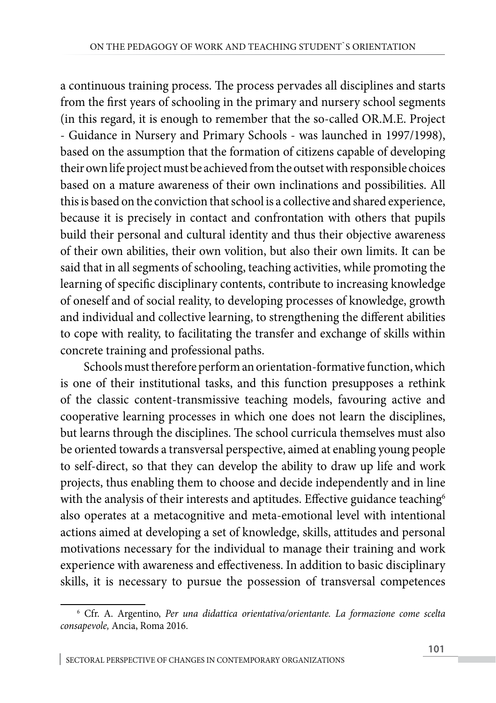a continuous training process. The process pervades all disciplines and starts from the first years of schooling in the primary and nursery school segments (in this regard, it is enough to remember that the so-called OR.M.E. Project - Guidance in Nursery and Primary Schools - was launched in 1997/1998), based on the assumption that the formation of citizens capable of developing their own life project must be achieved from the outset with responsible choices based on a mature awareness of their own inclinations and possibilities. All this is based on the conviction that school is a collective and shared experience, because it is precisely in contact and confrontation with others that pupils build their personal and cultural identity and thus their objective awareness of their own abilities, their own volition, but also their own limits. It can be said that in all segments of schooling, teaching activities, while promoting the learning of specific disciplinary contents, contribute to increasing knowledge of oneself and of social reality, to developing processes of knowledge, growth and individual and collective learning, to strengthening the different abilities to cope with reality, to facilitating the transfer and exchange of skills within concrete training and professional paths.

Schools must therefore perform an orientation-formative function, which is one of their institutional tasks, and this function presupposes a rethink of the classic content-transmissive teaching models, favouring active and cooperative learning processes in which one does not learn the disciplines, but learns through the disciplines. The school curricula themselves must also be oriented towards a transversal perspective, aimed at enabling young people to self-direct, so that they can develop the ability to draw up life and work projects, thus enabling them to choose and decide independently and in line with the analysis of their interests and aptitudes. Effective guidance teaching<sup>6</sup> also operates at a metacognitive and meta-emotional level with intentional actions aimed at developing a set of knowledge, skills, attitudes and personal motivations necessary for the individual to manage their training and work experience with awareness and effectiveness. In addition to basic disciplinary skills, it is necessary to pursue the possession of transversal competences

<sup>6</sup> Cfr. A. Argentino, *Per una didattica orientativa/orientante. La formazione come scelta consapevole,* Ancia, Roma 2016.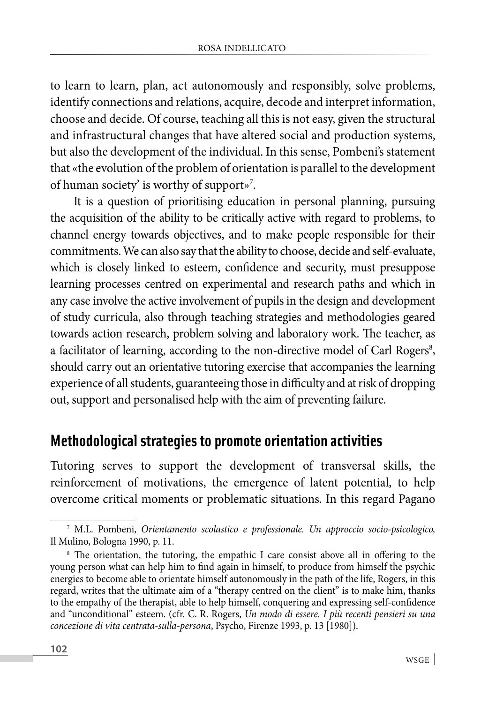to learn to learn, plan, act autonomously and responsibly, solve problems, identify connections and relations, acquire, decode and interpret information, choose and decide. Of course, teaching all this is not easy, given the structural and infrastructural changes that have altered social and production systems, but also the development of the individual. In this sense, Pombeni's statement that «the evolution of the problem of orientation is parallel to the development of human society' is worthy of support»<sup>7</sup>.

It is a question of prioritising education in personal planning, pursuing the acquisition of the ability to be critically active with regard to problems, to channel energy towards objectives, and to make people responsible for their commitments. We can also say that the ability to choose, decide and self-evaluate, which is closely linked to esteem, confidence and security, must presuppose learning processes centred on experimental and research paths and which in any case involve the active involvement of pupils in the design and development of study curricula, also through teaching strategies and methodologies geared towards action research, problem solving and laboratory work. The teacher, as a facilitator of learning, according to the non-directive model of Carl Rogers<sup>8</sup>, should carry out an orientative tutoring exercise that accompanies the learning experience of all students, guaranteeing those in difficulty and at risk of dropping out, support and personalised help with the aim of preventing failure.

#### **Methodological strategies to promote orientation activities**

Tutoring serves to support the development of transversal skills, the reinforcement of motivations, the emergence of latent potential, to help overcome critical moments or problematic situations. In this regard Pagano

<sup>7</sup> M.L. Pombeni, *Orientamento scolastico e professionale. Un approccio socio-psicologico,*  Il Mulino, Bologna 1990, p. 11.

<sup>&</sup>lt;sup>8</sup> The orientation, the tutoring, the empathic I care consist above all in offering to the young person what can help him to find again in himself, to produce from himself the psychic energies to become able to orientate himself autonomously in the path of the life, Rogers, in this regard, writes that the ultimate aim of a "therapy centred on the client" is to make him, thanks to the empathy of the therapist, able to help himself, conquering and expressing self-confidence and "unconditional" esteem. (cfr. C. R. Rogers, *Un modo di essere. I più recenti pensieri su una concezione di vita centrata-sulla-persona*, Psycho, Firenze 1993, p. 13 [1980]).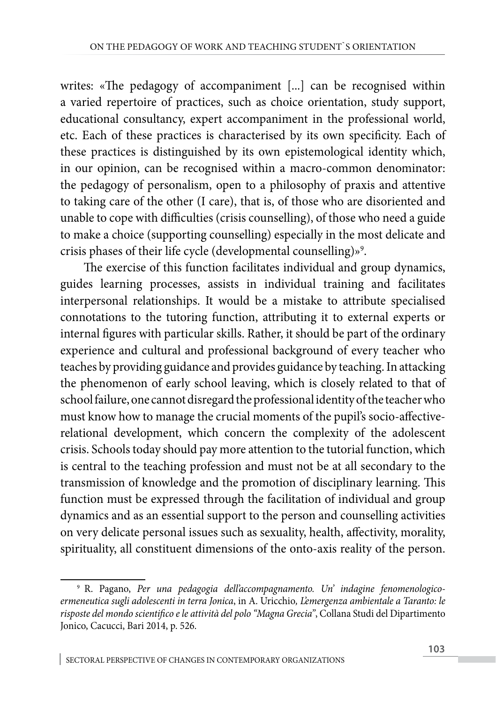writes: «The pedagogy of accompaniment [...] can be recognised within a varied repertoire of practices, such as choice orientation, study support, educational consultancy, expert accompaniment in the professional world, etc. Each of these practices is characterised by its own specificity. Each of these practices is distinguished by its own epistemological identity which, in our opinion, can be recognised within a macro-common denominator: the pedagogy of personalism, open to a philosophy of praxis and attentive to taking care of the other (I care), that is, of those who are disoriented and unable to cope with difficulties (crisis counselling), of those who need a guide to make a choice (supporting counselling) especially in the most delicate and crisis phases of their life cycle (developmental counselling)»<sup>9</sup>.

The exercise of this function facilitates individual and group dynamics, guides learning processes, assists in individual training and facilitates interpersonal relationships. It would be a mistake to attribute specialised connotations to the tutoring function, attributing it to external experts or internal figures with particular skills. Rather, it should be part of the ordinary experience and cultural and professional background of every teacher who teaches by providing guidance and provides guidance by teaching. In attacking the phenomenon of early school leaving, which is closely related to that of school failure, one cannot disregard the professional identity of the teacher who must know how to manage the crucial moments of the pupil's socio-affectiverelational development, which concern the complexity of the adolescent crisis. Schools today should pay more attention to the tutorial function, which is central to the teaching profession and must not be at all secondary to the transmission of knowledge and the promotion of disciplinary learning. This function must be expressed through the facilitation of individual and group dynamics and as an essential support to the person and counselling activities on very delicate personal issues such as sexuality, health, affectivity, morality, spirituality, all constituent dimensions of the onto-axis reality of the person.

<sup>9</sup> R. Pagano, *Per una pedagogia dell'accompagnamento. Un' indagine fenomenologicoermeneutica sugli adolescenti in terra Jonica*, in A. Uricchio*, L'emergenza ambientale a Taranto: le risposte del mondo scientifico e le attività del polo "Magna Grecia"*, Collana Studi del Dipartimento Jonico, Cacucci, Bari 2014, p. 526.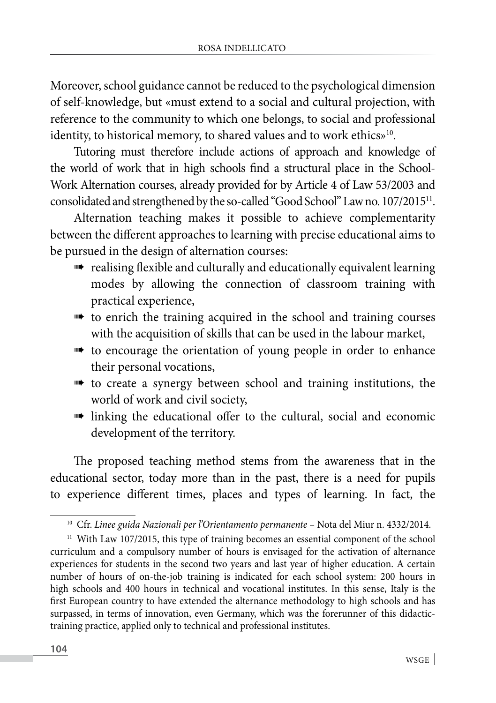Moreover, school guidance cannot be reduced to the psychological dimension of self-knowledge, but «must extend to a social and cultural projection, with reference to the community to which one belongs, to social and professional identity, to historical memory, to shared values and to work ethics»<sup>10</sup>.

Tutoring must therefore include actions of approach and knowledge of the world of work that in high schools find a structural place in the School-Work Alternation courses, already provided for by Article 4 of Law 53/2003 and consolidated and strengthened by the so-called "Good School" Law no. 107/201511.

Alternation teaching makes it possible to achieve complementarity between the different approaches to learning with precise educational aims to be pursued in the design of alternation courses:

- realising flexible and culturally and educationally equivalent learning modes by allowing the connection of classroom training with practical experience,
- **the training acquired in the school and training courses** with the acquisition of skills that can be used in the labour market,
- **the to encourage the orientation of young people in order to enhance** their personal vocations,
- **the create a synergy between school and training institutions, the** world of work and civil society,
- linking the educational offer to the cultural, social and economic development of the territory.

The proposed teaching method stems from the awareness that in the educational sector, today more than in the past, there is a need for pupils to experience different times, places and types of learning. In fact, the

<sup>&</sup>lt;sup>10</sup> Cfr. Linee guida Nazionali per l'Orientamento permanente - Nota del Miur n. 4332/2014.

<sup>&</sup>lt;sup>11</sup> With Law 107/2015, this type of training becomes an essential component of the school curriculum and a compulsory number of hours is envisaged for the activation of alternance experiences for students in the second two years and last year of higher education. A certain number of hours of on-the-job training is indicated for each school system: 200 hours in high schools and 400 hours in technical and vocational institutes. In this sense, Italy is the first European country to have extended the alternance methodology to high schools and has surpassed, in terms of innovation, even Germany, which was the forerunner of this didactictraining practice, applied only to technical and professional institutes.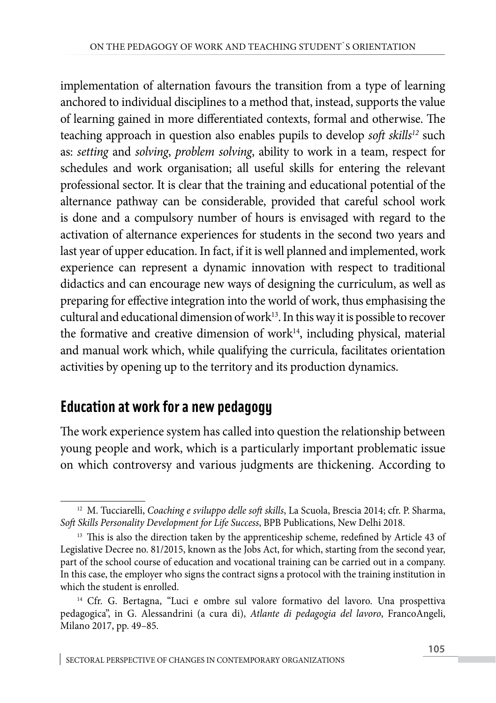implementation of alternation favours the transition from a type of learning anchored to individual disciplines to a method that, instead, supports the value of learning gained in more differentiated contexts, formal and otherwise. The teaching approach in question also enables pupils to develop *soft skills<sup>12</sup>* such as: *setting* and *solving*, *problem solving*, ability to work in a team, respect for schedules and work organisation; all useful skills for entering the relevant professional sector. It is clear that the training and educational potential of the alternance pathway can be considerable, provided that careful school work is done and a compulsory number of hours is envisaged with regard to the activation of alternance experiences for students in the second two years and last year of upper education. In fact, if it is well planned and implemented, work experience can represent a dynamic innovation with respect to traditional didactics and can encourage new ways of designing the curriculum, as well as preparing for effective integration into the world of work, thus emphasising the cultural and educational dimension of work $13$ . In this way it is possible to recover the formative and creative dimension of work $14$ , including physical, material and manual work which, while qualifying the curricula, facilitates orientation activities by opening up to the territory and its production dynamics.

### **Education at work for a new pedagogy**

The work experience system has called into question the relationship between young people and work, which is a particularly important problematic issue on which controversy and various judgments are thickening. According to

<sup>12</sup> M. Tucciarelli, *Coaching e sviluppo delle soft skills*, La Scuola, Brescia 2014; cfr. P. Sharma, *Soft Skills Personality Development for Life Success*, BPB Publications, New Delhi 2018.

<sup>&</sup>lt;sup>13</sup> This is also the direction taken by the apprenticeship scheme, redefined by Article 43 of Legislative Decree no. 81/2015, known as the Jobs Act, for which, starting from the second year, part of the school course of education and vocational training can be carried out in a company. In this case, the employer who signs the contract signs a protocol with the training institution in which the student is enrolled.

<sup>&</sup>lt;sup>14</sup> Cfr. G. Bertagna, "Luci e ombre sul valore formativo del lavoro. Una prospettiva pedagogica", in G. Alessandrini (a cura di), *Atlante di pedagogia del lavoro*, FrancoAngeli, Milano 2017, pp. 49–85.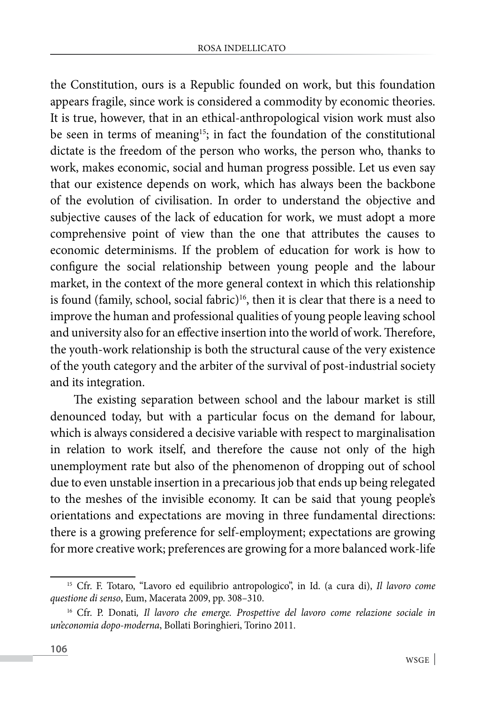the Constitution, ours is a Republic founded on work, but this foundation appears fragile, since work is considered a commodity by economic theories. It is true, however, that in an ethical-anthropological vision work must also be seen in terms of meaning<sup>15</sup>; in fact the foundation of the constitutional dictate is the freedom of the person who works, the person who, thanks to work, makes economic, social and human progress possible. Let us even say that our existence depends on work, which has always been the backbone of the evolution of civilisation. In order to understand the objective and subjective causes of the lack of education for work, we must adopt a more comprehensive point of view than the one that attributes the causes to economic determinisms. If the problem of education for work is how to configure the social relationship between young people and the labour market, in the context of the more general context in which this relationship is found (family, school, social fabric)<sup>16</sup>, then it is clear that there is a need to improve the human and professional qualities of young people leaving school and university also for an effective insertion into the world of work. Therefore, the youth-work relationship is both the structural cause of the very existence of the youth category and the arbiter of the survival of post-industrial society and its integration.

The existing separation between school and the labour market is still denounced today, but with a particular focus on the demand for labour, which is always considered a decisive variable with respect to marginalisation in relation to work itself, and therefore the cause not only of the high unemployment rate but also of the phenomenon of dropping out of school due to even unstable insertion in a precarious job that ends up being relegated to the meshes of the invisible economy. It can be said that young people's orientations and expectations are moving in three fundamental directions: there is a growing preference for self-employment; expectations are growing for more creative work; preferences are growing for a more balanced work-life

<sup>15</sup> Cfr. F. Totaro, "Lavoro ed equilibrio antropologico", in Id. (a cura di), *Il lavoro come questione di senso*, Eum, Macerata 2009, pp. 308–310.

<sup>&</sup>lt;sup>16</sup> Cfr. P. Donati, Il lavoro che emerge. Prospettive del lavoro come relazione sociale in *un'economia dopo-moderna*, Bollati Boringhieri, Torino 2011.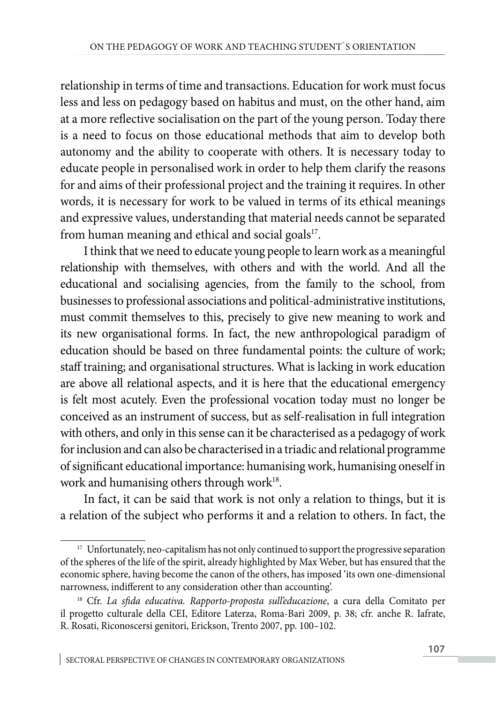relationship in terms of time and transactions. Education for work must focus less and less on pedagogy based on habitus and must, on the other hand, aim at a more reflective socialisation on the part of the young person. Today there is a need to focus on those educational methods that aim to develop both autonomy and the ability to cooperate with others. It is necessary today to educate people in personalised work in order to help them clarify the reasons for and aims of their professional project and the training it requires. In other words, it is necessary for work to be valued in terms of its ethical meanings and expressive values, understanding that material needs cannot be separated from human meaning and ethical and social goals $17$ .

I think that we need to educate young people to learn work as a meaningful relationship with themselves, with others and with the world. And all the educational and socialising agencies, from the family to the school, from businesses to professional associations and political-administrative institutions, must commit themselves to this, precisely to give new meaning to work and its new organisational forms. In fact, the new anthropological paradigm of education should be based on three fundamental points: the culture of work; staff training; and organisational structures. What is lacking in work education are above all relational aspects, and it is here that the educational emergency is felt most acutely. Even the professional vocation today must no longer be conceived as an instrument of success, but as self-realisation in full integration with others, and only in this sense can it be characterised as a pedagogy of work for inclusion and can also be characterised in a triadic and relational programme of significant educational importance: humanising work, humanising oneself in work and humanising others through work<sup>18</sup>.

In fact, it can be said that work is not only a relation to things, but it is a relation of the subject who performs it and a relation to others. In fact, the

<sup>&</sup>lt;sup>17</sup> Unfortunately, neo-capitalism has not only continued to support the progressive separation of the spheres of the life of the spirit, already highlighted by Max Weber, but has ensured that the economic sphere, having become the canon of the others, has imposed 'its own one-dimensional narrowness, indifferent to any consideration other than accounting'.

<sup>18</sup> Cfr. *La sfida educativa. Rapporto-proposta sull'educazione*, a cura della Comitato per il progetto culturale della CEI, Editore Laterza, Roma-Bari 2009, p. 38; cfr. anche R. Iafrate, R. Rosati, Riconoscersi genitori, Erickson, Trento 2007, pp. 100–102.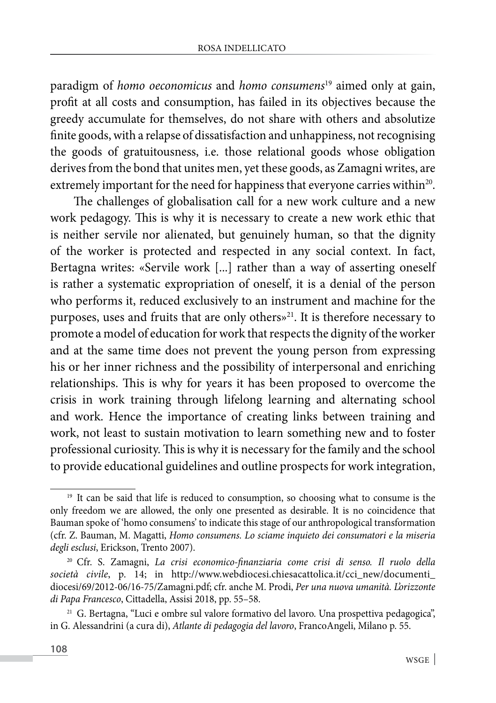paradigm of *homo oeconomicus* and *homo consumens*19 aimed only at gain, profit at all costs and consumption, has failed in its objectives because the greedy accumulate for themselves, do not share with others and absolutize finite goods, with a relapse of dissatisfaction and unhappiness, not recognising the goods of gratuitousness, i.e. those relational goods whose obligation derives from the bond that unites men, yet these goods, as Zamagni writes, are extremely important for the need for happiness that everyone carries within<sup>20</sup>.

The challenges of globalisation call for a new work culture and a new work pedagogy. This is why it is necessary to create a new work ethic that is neither servile nor alienated, but genuinely human, so that the dignity of the worker is protected and respected in any social context. In fact, Bertagna writes: «Servile work [...] rather than a way of asserting oneself is rather a systematic expropriation of oneself, it is a denial of the person who performs it, reduced exclusively to an instrument and machine for the purposes, uses and fruits that are only others»<sup>21</sup>. It is therefore necessary to promote a model of education for work that respects the dignity of the worker and at the same time does not prevent the young person from expressing his or her inner richness and the possibility of interpersonal and enriching relationships. This is why for years it has been proposed to overcome the crisis in work training through lifelong learning and alternating school and work. Hence the importance of creating links between training and work, not least to sustain motivation to learn something new and to foster professional curiosity. This is why it is necessary for the family and the school to provide educational guidelines and outline prospects for work integration,

<sup>&</sup>lt;sup>19</sup> It can be said that life is reduced to consumption, so choosing what to consume is the only freedom we are allowed, the only one presented as desirable. It is no coincidence that Bauman spoke of 'homo consumens' to indicate this stage of our anthropological transformation (cfr. Z. Bauman, M. Magatti, *Homo consumens. Lo sciame inquieto dei consumatori e la miseria degli esclusi*, Erickson, Trento 2007).

<sup>20</sup> Cfr. S. Zamagni, *La crisi economico-finanziaria come crisi di senso. Il ruolo della società civile*, p. 14; in http://www.webdiocesi.chiesacattolica.it/cci\_new/documenti\_ diocesi/69/2012-06/16-75/Zamagni.pdf; cfr. anche M. Prodi, *Per una nuova umanità. L'orizzonte di Papa Francesco*, Cittadella, Assisi 2018, pp. 55–58.

<sup>21</sup> G. Bertagna, "Luci e ombre sul valore formativo del lavoro. Una prospettiva pedagogica", in G. Alessandrini (a cura di), *Atlante di pedagogia del lavoro*, FrancoAngeli, Milano p. 55.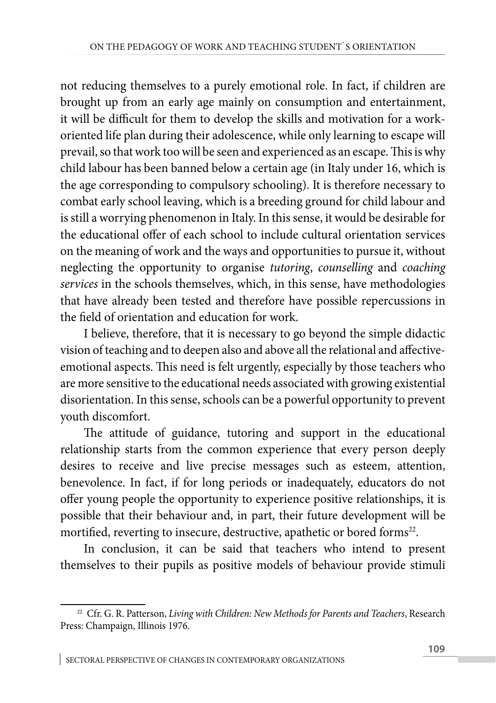not reducing themselves to a purely emotional role. In fact, if children are brought up from an early age mainly on consumption and entertainment, it will be difficult for them to develop the skills and motivation for a workoriented life plan during their adolescence, while only learning to escape will prevail, so that work too will be seen and experienced as an escape. This is why child labour has been banned below a certain age (in Italy under 16, which is the age corresponding to compulsory schooling). It is therefore necessary to combat early school leaving, which is a breeding ground for child labour and is still a worrying phenomenon in Italy. In this sense, it would be desirable for the educational offer of each school to include cultural orientation services on the meaning of work and the ways and opportunities to pursue it, without neglecting the opportunity to organise *tutoring*, *counselling* and *coaching services* in the schools themselves, which, in this sense, have methodologies that have already been tested and therefore have possible repercussions in the field of orientation and education for work.

I believe, therefore, that it is necessary to go beyond the simple didactic vision of teaching and to deepen also and above all the relational and affectiveemotional aspects. This need is felt urgently, especially by those teachers who are more sensitive to the educational needs associated with growing existential disorientation. In this sense, schools can be a powerful opportunity to prevent youth discomfort.

The attitude of guidance, tutoring and support in the educational relationship starts from the common experience that every person deeply desires to receive and live precise messages such as esteem, attention, benevolence. In fact, if for long periods or inadequately, educators do not offer young people the opportunity to experience positive relationships, it is possible that their behaviour and, in part, their future development will be mortified, reverting to insecure, destructive, apathetic or bored forms<sup>22</sup>.

In conclusion, it can be said that teachers who intend to present themselves to their pupils as positive models of behaviour provide stimuli

<sup>&</sup>lt;sup>22</sup> Cfr. G. R. Patterson, *Living with Children: New Methods for Parents and Teachers*, Research Press: Champaign, Illinois 1976.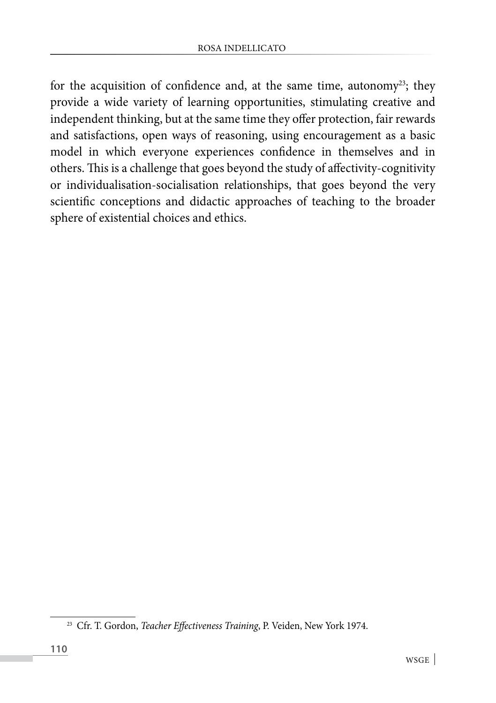for the acquisition of confidence and, at the same time, autonomy<sup>23</sup>; they provide a wide variety of learning opportunities, stimulating creative and independent thinking, but at the same time they offer protection, fair rewards and satisfactions, open ways of reasoning, using encouragement as a basic model in which everyone experiences confidence in themselves and in others. This is a challenge that goes beyond the study of affectivity-cognitivity or individualisation-socialisation relationships, that goes beyond the very scientific conceptions and didactic approaches of teaching to the broader sphere of existential choices and ethics.

<sup>23</sup> Cfr. T. Gordon, *Teacher Effectiveness Training*, P. Veiden, New York 1974.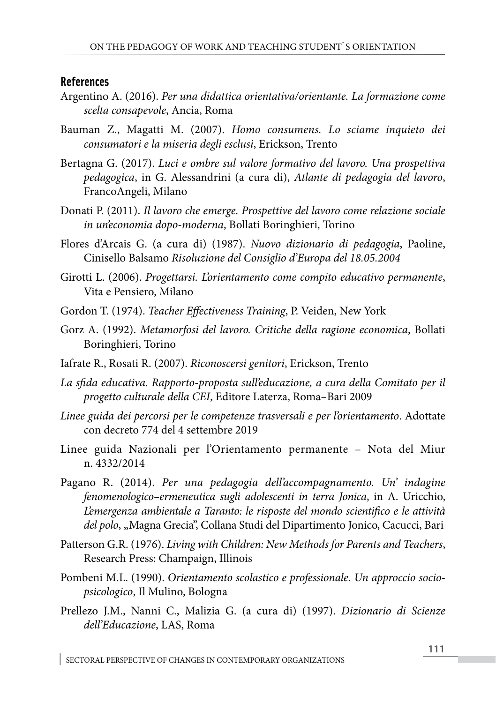#### **References**

- Argentino A. (2016). *Per una didattica orientativa/orientante. La formazione come scelta consapevole*, Ancia, Roma
- Bauman Z., Magatti M. (2007). *Homo consumens. Lo sciame inquieto dei consumatori e la miseria degli esclusi*, Erickson, Trento
- Bertagna G. (2017). *Luci e ombre sul valore formativo del lavoro. Una prospettiva pedagogica*, in G. Alessandrini (a cura di), *Atlante di pedagogia del lavoro*, FrancoAngeli, Milano
- Donati P. (2011). *Il lavoro che emerge. Prospettive del lavoro come relazione sociale in un'economia dopo-moderna*, Bollati Boringhieri, Torino
- Flores d'Arcais G. (a cura di) (1987). *Nuovo dizionario di pedagogia*, Paoline, Cinisello Balsamo *Risoluzione del Consiglio d'Europa del 18.05.2004*
- Girotti L. (2006). *Progettarsi. L'orientamento come compito educativo permanente*, Vita e Pensiero, Milano
- Gordon T. (1974). *Teacher Effectiveness Training*, P. Veiden, New York
- Gorz A. (1992). *Metamorfosi del lavoro. Critiche della ragione economica*, Bollati Boringhieri, Torino
- Iafrate R., Rosati R. (2007). *Riconoscersi genitori*, Erickson, Trento
- *La sfida educativa. Rapporto-proposta sull'educazione, a cura della Comitato per il progetto culturale della CEI*, Editore Laterza, Roma–Bari 2009
- *Linee guida dei percorsi per le competenze trasversali e per l'orientamento*. Adottate con decreto 774 del 4 settembre 2019
- Linee guida Nazionali per l'Orientamento permanente Nota del Miur n. 4332/2014
- Pagano R. (2014). *Per una pedagogia dell'accompagnamento. Un' indagine fenomenologico–ermeneutica sugli adolescenti in terra Jonica*, in A. Uricchio, *L'emergenza ambientale a Taranto: le risposte del mondo scientifico e le attività*  del polo, "Magna Grecia", Collana Studi del Dipartimento Jonico, Cacucci, Bari
- Patterson G.R. (1976). *Living with Children: New Methods for Parents and Teachers*, Research Press: Champaign, Illinois
- Pombeni M.L. (1990). *Orientamento scolastico e professionale. Un approccio sociopsicologico*, Il Mulino, Bologna
- Prellezo J.M., Nanni C., Malizia G. (a cura di) (1997). *Dizionario di Scienze dell'Educazione*, LAS, Roma